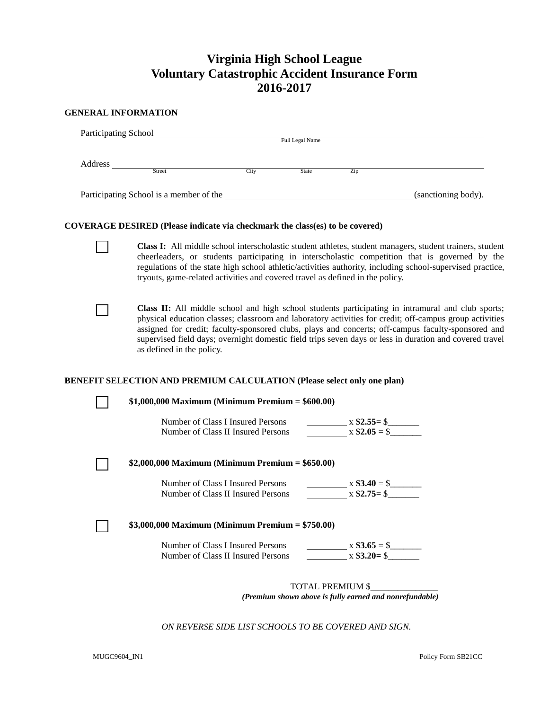# **Virginia High School League Voluntary Catastrophic Accident Insurance Form 2016-2017**

# **GENERAL INFORMATION**

|                                                                                     | Participating School<br><u>Participating</u> School                           | Full Legal Name |                                  |                                                                                                                                                                                                                                                                                                                                                                                                                               |
|-------------------------------------------------------------------------------------|-------------------------------------------------------------------------------|-----------------|----------------------------------|-------------------------------------------------------------------------------------------------------------------------------------------------------------------------------------------------------------------------------------------------------------------------------------------------------------------------------------------------------------------------------------------------------------------------------|
| Street                                                                              | City                                                                          | State           | Zip                              |                                                                                                                                                                                                                                                                                                                                                                                                                               |
|                                                                                     |                                                                               |                 |                                  | Participating School is a member of the (sanctioning body).                                                                                                                                                                                                                                                                                                                                                                   |
| <b>COVERAGE DESIRED</b> (Please indicate via checkmark the class(es) to be covered) |                                                                               |                 |                                  |                                                                                                                                                                                                                                                                                                                                                                                                                               |
|                                                                                     | tryouts, game-related activities and covered travel as defined in the policy. |                 |                                  | Class I: All middle school interscholastic student athletes, student managers, student trainers, student<br>cheerleaders, or students participating in interscholastic competition that is governed by the<br>regulations of the state high school athletic/activities authority, including school-supervised practice,                                                                                                       |
| as defined in the policy.                                                           |                                                                               |                 |                                  | Class II: All middle school and high school students participating in intramural and club sports;<br>physical education classes; classroom and laboratory activities for credit; off-campus group activities<br>assigned for credit; faculty-sponsored clubs, plays and concerts; off-campus faculty-sponsored and<br>supervised field days; overnight domestic field trips seven days or less in duration and covered travel |
|                                                                                     |                                                                               |                 |                                  |                                                                                                                                                                                                                                                                                                                                                                                                                               |
| <b>BENEFIT SELECTION AND PREMIUM CALCULATION (Please select only one plan)</b>      |                                                                               |                 |                                  |                                                                                                                                                                                                                                                                                                                                                                                                                               |
|                                                                                     | $$1,000,000$ Maximum (Minimum Premium = \$600.00)                             |                 |                                  |                                                                                                                                                                                                                                                                                                                                                                                                                               |
|                                                                                     | Number of Class I Insured Persons<br>Number of Class II Insured Persons       |                 | $x$ \$2.55= \$                   |                                                                                                                                                                                                                                                                                                                                                                                                                               |
|                                                                                     | \$2,000,000 Maximum (Minimum Premium = $$650.00$ )                            |                 |                                  |                                                                                                                                                                                                                                                                                                                                                                                                                               |
|                                                                                     | Number of Class I Insured Persons<br>Number of Class II Insured Persons       |                 | $x$ \$3.40 = \$                  |                                                                                                                                                                                                                                                                                                                                                                                                                               |
|                                                                                     | \$3,000,000 Maximum (Minimum Premium = \$750.00)                              |                 |                                  |                                                                                                                                                                                                                                                                                                                                                                                                                               |
|                                                                                     | Number of Class I Insured Persons<br>Number of Class II Insured Persons       |                 | $x$ \$3.65 = \$<br>$x $3.20 = $$ |                                                                                                                                                                                                                                                                                                                                                                                                                               |

*ON REVERSE SIDE LIST SCHOOLS TO BE COVERED AND SIGN.*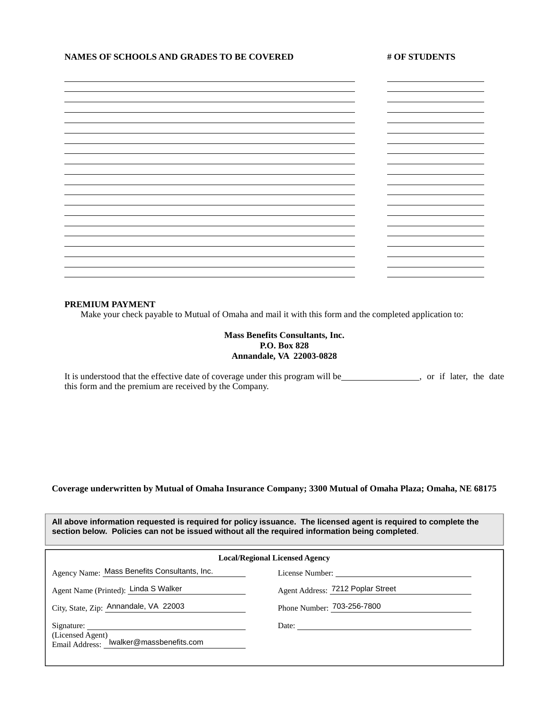# NAMES OF SCHOOLS AND GRADES TO BE COVERED # OF STUDENTS

|  | ۰ |
|--|---|
|  |   |
|  |   |
|  |   |
|  |   |
|  |   |
|  |   |

#### **PREMIUM PAYMENT**

Make your check payable to Mutual of Omaha and mail it with this form and the completed application to:

# **Mass Benefits Consultants, Inc. P.O. Box 828 Annandale, VA 22003-0828**

It is understood that the effective date of coverage under this program will be , or if later, the date this form and the premium are received by the Company.

# **Coverage underwritten by Mutual of Omaha Insurance Company; 3300 Mutual of Omaha Plaza; Omaha, NE 68175**

| All above information requested is required for policy issuance. The licensed agent is required to complete the |  |
|-----------------------------------------------------------------------------------------------------------------|--|
| section below. Policies can not be issued without all the required information being completed.                 |  |

| <b>Local/Regional Licensed Agency</b>                       |                                   |  |  |
|-------------------------------------------------------------|-----------------------------------|--|--|
| Agency Name: Mass Benefits Consultants, Inc.                |                                   |  |  |
| Agent Name (Printed): Linda S Walker                        | Agent Address: 7212 Poplar Street |  |  |
| City, State, Zip: Annandale, VA 22003                       | Phone Number: 703-256-7800        |  |  |
| (Licensed Agent)<br>Email Address: lwalker@massbenefits.com | Date:                             |  |  |